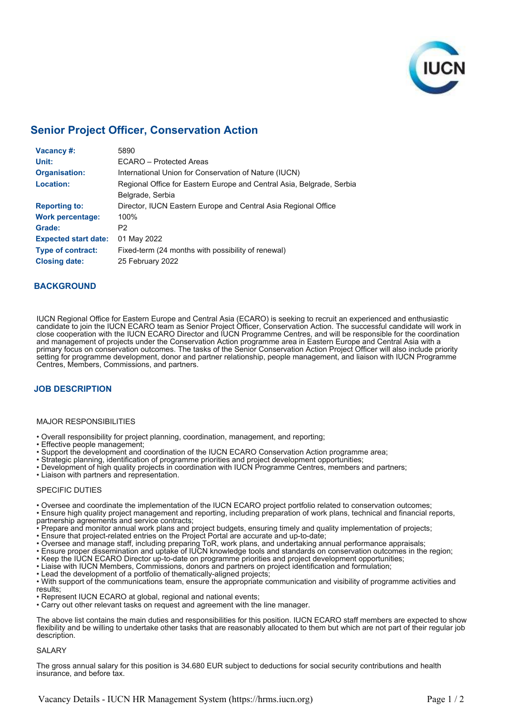

# **Senior Project Officer, Conservation Action**

| Vacancy #:                  | 5890                                                                  |
|-----------------------------|-----------------------------------------------------------------------|
| Unit:                       | FCARO - Protected Areas                                               |
| <b>Organisation:</b>        | International Union for Conservation of Nature (IUCN)                 |
| Location:                   | Regional Office for Eastern Europe and Central Asia, Belgrade, Serbia |
|                             | Belgrade, Serbia                                                      |
| <b>Reporting to:</b>        | Director, IUCN Eastern Europe and Central Asia Regional Office        |
| <b>Work percentage:</b>     | 100%                                                                  |
| Grade:                      | P <sub>2</sub>                                                        |
| <b>Expected start date:</b> | 01 May 2022                                                           |
| <b>Type of contract:</b>    | Fixed-term (24 months with possibility of renewal)                    |
| <b>Closing date:</b>        | 25 February 2022                                                      |

### **BACKGROUND**

IUCN Regional Office for Eastern Europe and Central Asia (ECARO) is seeking to recruit an experienced and enthusiastic candidate to join the IUCN ECARO team as Senior Project Officer, Conservation Action. The successful candidate will work in close cooperation with the IUCN ECARO Director and IUCN Programme Centres, and will be responsible for the coordination and management of projects under the Conservation Action programme area in Eastern Europe and Central Asia with a primary focus on conservation outcomes. The tasks of the Senior Conservation Action Project Officer will also include priority setting for programme development, donor and partner relationship, people management, and liaison with IUCN Programme Centres, Members, Commissions, and partners.

## **JOB DESCRIPTION**

#### MAJOR RESPONSIBILITIES

- Overall responsibility for project planning, coordination, management, and reporting;
- Effective people management;
- Support the development and coordination of the IUCN ECARO Conservation Action programme area;
- Strategic planning, identification of programme priorities and project development opportunities;
- Development of high quality projects in coordination with IUCN Programme Centres, members and partners;
- Liaison with partners and representation.

#### SPECIFIC DUTIES

• Oversee and coordinate the implementation of the IUCN ECARO project portfolio related to conservation outcomes;

- Ensure high quality project management and reporting, including preparation of work plans, technical and financial reports, partnership agreements and service contracts;
- Prepare and monitor annual work plans and project budgets, ensuring timely and quality implementation of projects;
- Ensure that project-related entries on the Project Portal are accurate and up-to-date;
- Oversee and manage staff, including preparing ToR, work plans, and undertaking annual performance appraisals;
- Ensure proper dissemination and uptake of IUCN knowledge tools and standards on conservation outcomes in the region;
- Keep the IUCN ECARO Director up-to-date on programme priorities and project development opportunities;
- Liaise with IUCN Members, Commissions, donors and partners on project identification and formulation;
- Lead the development of a portfolio of thematically-aligned projects;

• With support of the communications team, ensure the appropriate communication and visibility of programme activities and results;

- Represent IUCN ECARO at global, regional and national events;
- Carry out other relevant tasks on request and agreement with the line manager.

The above list contains the main duties and responsibilities for this position. IUCN ECARO staff members are expected to show flexibility and be willing to undertake other tasks that are reasonably allocated to them but which are not part of their regular job description.

#### SALARY

The gross annual salary for this position is 34.680 EUR subject to deductions for social security contributions and health insurance, and before tax.